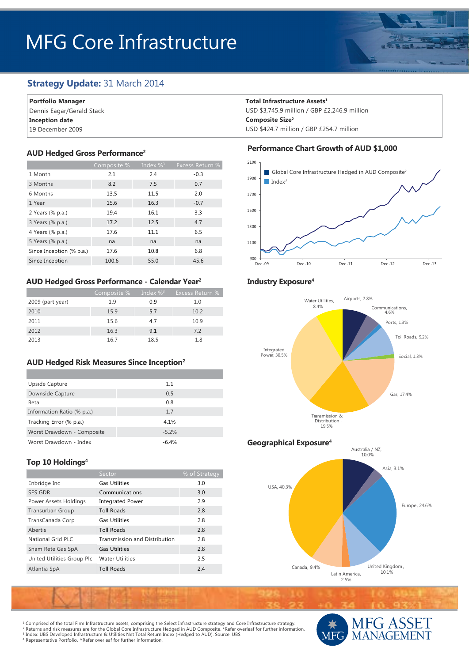# MFG Core Infrastructure

# **Strategy Update:** 31 March 2014

| <b>Portfolio Manager</b>  |  |  |  |
|---------------------------|--|--|--|
| Dennis Eagar/Gerald Stack |  |  |  |
| Inception date            |  |  |  |
| 19 December 2009          |  |  |  |

|                          | Composite % | Index $\%$ <sup>3</sup> | Excess Return % |
|--------------------------|-------------|-------------------------|-----------------|
| 1 Month                  | 2.1         | 2.4                     | $-0.3$          |
| 3 Months                 | 8.2         | 7.5                     | 0.7             |
| 6 Months                 | 13.5        | 11.5                    | 2.0             |
| 1 Year                   | 15.6        | 16.3                    | $-0.7$          |
| 2 Years (% p.a.)         | 19.4        | 16.1                    | 3.3             |
| 3 Years (% p.a.)         | 17.2        | 12.5                    | 4.7             |
| 4 Years (% p.a.)         | 17.6        | 11.1                    | 6.5             |
| 5 Years (% p.a.)         | na          | na                      | na              |
| Since Inception (% p.a.) | 17.6        | 10.8                    | 6.8             |
| Since Inception          | 100.6       | 55.0                    | 45.6            |

# **AUD Hedged Gross Performance - Calendar Year2**

|                  | Composite % | Index $\%$ <sup>3</sup> | <b>Excess Return %</b> |
|------------------|-------------|-------------------------|------------------------|
| 2009 (part year) | 1.9         | 0.9                     | 1.0                    |
| 2010             | 15.9        | 5.7                     | 10.2                   |
| 2011             | 15.6        | 4.7                     | 10.9                   |
| 2012             | 16.3        | 9.1                     | 7.2                    |
| 2013             | 16.7        | 18.5                    | $-1.8$                 |

### **AUD Hedged Risk Measures Since Inception2**

| Upside Capture             | 1.1     |
|----------------------------|---------|
| Downside Capture           | 0.5     |
| Beta                       | 0.8     |
| Information Ratio (% p.a.) | 1.7     |
| Tracking Error (% p.a.)    | 4.1%    |
| Worst Drawdown - Composite | $-5.2%$ |
| Worst Drawdown - Index     | $-6.4%$ |

# **Top 10 Holdings4**

|                            | Sector                               | % of Strategy |
|----------------------------|--------------------------------------|---------------|
| Enbridge Inc               | <b>Gas Utilities</b>                 | 3.0           |
| <b>SES GDR</b>             | Communications                       | 3.0           |
| Power Assets Holdings      | <b>Integrated Power</b>              | 2.9           |
| <b>Transurban Group</b>    | <b>Toll Roads</b>                    | 2.8           |
| TransCanada Corp           | <b>Gas Utilities</b>                 | 2.8           |
| Abertis                    | <b>Toll Roads</b>                    | 2.8           |
| National Grid PLC          | <b>Transmission and Distribution</b> | 2.8           |
| Snam Rete Gas SpA          | <b>Gas Utilities</b>                 | 2.8           |
| United Utilities Group Plc | <b>Water Utilities</b>               | 2.5           |
| Atlantia SpA               | <b>Toll Roads</b>                    | 2.4           |

#### **Total Infrastructure Assets<sup>1</sup>**

USD \$3,745.9 million / GBP £2,246.9 million **Composite Size2** USD \$424.7 million / GBP £254.7 million



## **Industry Exposure4**



### **Geographical Exposure4**



MFG ASSET MANAGEMENT

<sup>1</sup> Comprised of the total Firm Infrastructure assets, comprising the Select Infrastructure strategy and Core Infrastructure strategy.<br><sup>2</sup> Returns and risk measures are for the Global Core Infrastructure Hedged in AUD Comp

<sup>3</sup> Index: UBS Developed Infrastructure & Utilities Net Total Return Index (Hedged to AUD). Source: UBS

4 Representative Portfolio. ^Refer overleaf for further information.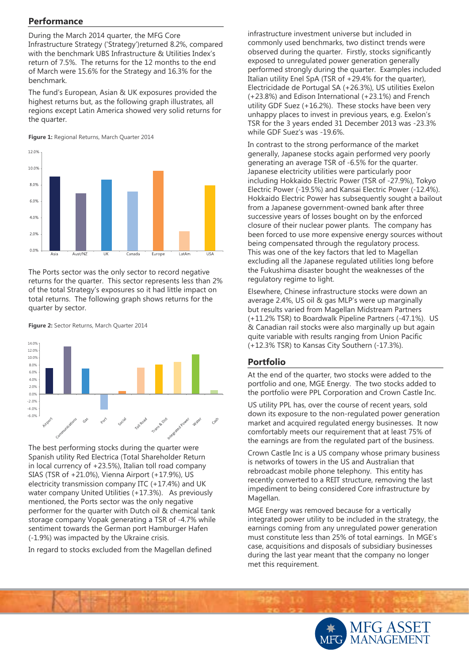# **Performance**

During the March 2014 quarter, the MFG Core Infrastructure Strategy ('Strategy')returned 8.2%, compared with the benchmark UBS Infrastructure & Utilities Index's return of 7.5%. The returns for the 12 months to the end of March were 15.6% for the Strategy and 16.3% for the benchmark.

The fund's European, Asian & UK exposures provided the highest returns but, as the following graph illustrates, all regions except Latin America showed very solid returns for the quarter.

**Figure 1:** Regional Returns, March Quarter 2014



The Ports sector was the only sector to record negative returns for the quarter. This sector represents less than 2% of the total Strategy's exposures so it had little impact on total returns. The following graph shows returns for the quarter by sector.

**Figure 2:** Sector Returns, March Quarter 2014



The best performing stocks during the quarter were Spanish utility Red Electrica (Total Shareholder Return in local currency of +23.5%), Italian toll road company SIAS (TSR of +21.0%), Vienna Airport (+17.9%), US electricity transmission company ITC (+17.4%) and UK water company United Utilities (+17.3%). As previously mentioned, the Ports sector was the only negative performer for the quarter with Dutch oil & chemical tank storage company Vopak generating a TSR of -4.7% while sentiment towards the German port Hamburger Hafen (-1.9%) was impacted by the Ukraine crisis.

In regard to stocks excluded from the Magellan defined

infrastructure investment universe but included in commonly used benchmarks, two distinct trends were observed during the quarter. Firstly, stocks significantly exposed to unregulated power generation generally performed strongly during the quarter. Examples included Italian utility Enel SpA (TSR of +29.4% for the quarter), Electricidade de Portugal SA (+26.3%), US utilities Exelon (+23.8%) and Edison International (+23.1%) and French utility GDF Suez (+16.2%). These stocks have been very unhappy places to invest in previous years, e.g. Exelon's TSR for the 3 years ended 31 December 2013 was -23.3% while GDF Suez's was -19.6%.

In contrast to the strong performance of the market generally, Japanese stocks again performed very poorly generating an average TSR of -6.5% for the quarter. Japanese electricity utilities were particularly poor including Hokkaido Electric Power (TSR of -27.9%), Tokyo Electric Power (-19.5%) and Kansai Electric Power (-12.4%). Hokkaido Electric Power has subsequently sought a bailout from a Japanese government-owned bank after three successive years of losses bought on by the enforced closure of their nuclear power plants. The company has been forced to use more expensive energy sources without being compensated through the regulatory process. This was one of the key factors that led to Magellan excluding all the Japanese regulated utilities long before the Fukushima disaster bought the weaknesses of the regulatory regime to light.

Elsewhere, Chinese infrastructure stocks were down an average 2.4%, US oil & gas MLP's were up marginally but results varied from Magellan Midstream Partners (+11.2% TSR) to Boardwalk Pipeline Partners (-47.1%). US & Canadian rail stocks were also marginally up but again quite variable with results ranging from Union Pacific (+12.3% TSR) to Kansas City Southern (-17.3%).

# **Portfolio**

At the end of the quarter, two stocks were added to the portfolio and one, MGE Energy. The two stocks added to the portfolio were PPL Corporation and Crown Castle Inc.

US utility PPL has, over the course of recent years, sold down its exposure to the non-regulated power generation market and acquired regulated energy businesses. It now comfortably meets our requirement that at least 75% of the earnings are from the regulated part of the business.

Crown Castle Inc is a US company whose primary business is networks of towers in the US and Australian that rebroadcast mobile phone telephony. This entity has recently converted to a REIT structure, removing the last impediment to being considered Core infrastructure by Magellan.

MGE Energy was removed because for a vertically integrated power utility to be included in the strategy, the earnings coming from any unregulated power generation must constitute less than 25% of total earnings. In MGE's case, acquisitions and disposals of subsidiary businesses during the last year meant that the company no longer met this requirement.

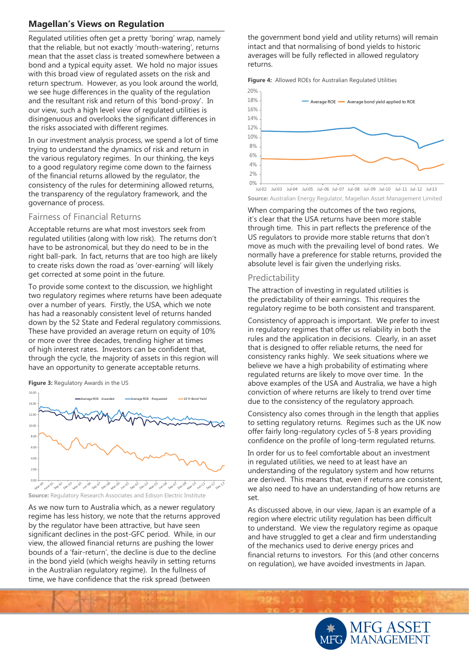# **Magellan's Views on Regulation**

Regulated utilities often get a pretty 'boring' wrap, namely that the reliable, but not exactly 'mouth-watering', returns mean that the asset class is treated somewhere between a bond and a typical equity asset. We hold no major issues with this broad view of regulated assets on the risk and return spectrum. However, as you look around the world, we see huge differences in the quality of the regulation and the resultant risk and return of this 'bond-proxy'. In our view, such a high level view of regulated utilities is disingenuous and overlooks the significant differences in the risks associated with different regimes.

In our investment analysis process, we spend a lot of time trying to understand the dynamics of risk and return in the various regulatory regimes. In our thinking, the keys to a good regulatory regime come down to the fairness of the financial returns allowed by the regulator, the consistency of the rules for determining allowed returns, the transparency of the regulatory framework, and the governance of process.

# Fairness of Financial Returns

Acceptable returns are what most investors seek from regulated utilities (along with low risk). The returns don't have to be astronomical, but they do need to be in the right ball-park. In fact, returns that are too high are likely to create risks down the road as 'over-earning' will likely get corrected at some point in the future.

To provide some context to the discussion, we highlight two regulatory regimes where returns have been adequate over a number of years. Firstly, the USA, which we note has had a reasonably consistent level of returns handed down by the 52 State and Federal regulatory commissions. These have provided an average return on equity of 10% or more over three decades, trending higher at times of high interest rates. Investors can be confident that, through the cycle, the majority of assets in this region will have an opportunity to generate acceptable returns.





**Source:** Regulatory Research Associates and Edison Electric Institute

As we now turn to Australia which, as a newer regulatory regime has less history, we note that the returns approved by the regulator have been attractive, but have seen significant declines in the post-GFC period. While, in our view, the allowed financial returns are pushing the lower bounds of a 'fair-return', the decline is due to the decline in the bond yield (which weighs heavily in setting returns in the Australian regulatory regime). In the fullness of time, we have confidence that the risk spread (between

the government bond yield and utility returns) will remain intact and that normalising of bond yields to historic averages will be fully reflected in allowed regulatory returns.

**Figure 4:** Allowed ROEs for Australian Regulated Utilities



**Source:** Australian Energy Regulator, Magellan Asset Management Limited

When comparing the outcomes of the two regions, it's clear that the USA returns have been more stable through time. This in part reflects the preference of the US regulators to provide more stable returns that don't move as much with the prevailing level of bond rates. We normally have a preference for stable returns, provided the absolute level is fair given the underlying risks.

# Predictability

The attraction of investing in regulated utilities is the predictability of their earnings. This requires the regulatory regime to be both consistent and transparent.

Consistency of approach is important. We prefer to invest in regulatory regimes that offer us reliability in both the rules and the application in decisions. Clearly, in an asset that is designed to offer reliable returns, the need for consistency ranks highly. We seek situations where we believe we have a high probability of estimating where regulated returns are likely to move over time. In the above examples of the USA and Australia, we have a high conviction of where returns are likely to trend over time due to the consistency of the regulatory approach.

Consistency also comes through in the length that applies to setting regulatory returns. Regimes such as the UK now offer fairly long-regulatory cycles of 5-8 years providing confidence on the profile of long-term regulated returns.

In order for us to feel comfortable about an investment in regulated utilities, we need to at least have an understanding of the regulatory system and how returns are derived. This means that, even if returns are consistent, we also need to have an understanding of how returns are set.

As discussed above, in our view, Japan is an example of a region where electric utility regulation has been difficult to understand. We view the regulatory regime as opaque and have struggled to get a clear and firm understanding of the mechanics used to derive energy prices and financial returns to investors. For this (and other concerns on regulation), we have avoided investments in Japan.